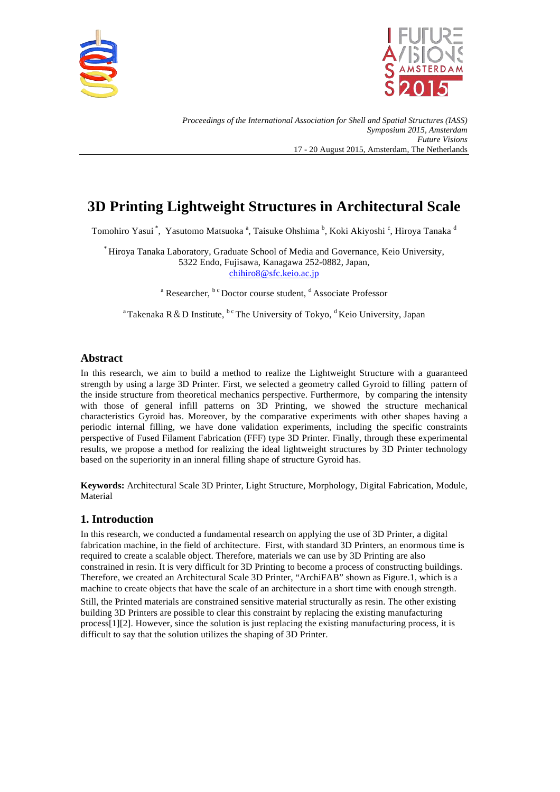



*Proceedings of the International Association for Shell and Spatial Structures (IASS) Symposium 2015, Amsterdam Future Visions* 17 - 20 August 2015, Amsterdam, The Netherlands

# **3D Printing Lightweight Structures in Architectural Scale**

Tomohiro Yasui <sup>\*</sup>, Yasutomo Matsuoka <sup>a</sup>, Taisuke Ohshima <sup>b</sup>, Koki Akiyoshi <sup>c</sup>, Hiroya Tanaka <sup>d</sup>

\* Hiroya Tanaka Laboratory, Graduate School of Media and Governance, Keio University, 5322 Endo, Fujisawa, Kanagawa 252-0882, Japan, chihiro8@sfc.keio.ac.jp

<sup>a</sup> Researcher,  $b^c$  Doctor course student, <sup>d</sup> Associate Professor

<sup>a</sup> Takenaka R & D Institute, <sup>b c</sup> The University of Tokyo, <sup>d</sup> Keio University, Japan

## **Abstract**

In this research, we aim to build a method to realize the Lightweight Structure with a guaranteed strength by using a large 3D Printer. First, we selected a geometry called Gyroid to filling pattern of the inside structure from theoretical mechanics perspective. Furthermore, by comparing the intensity with those of general infill patterns on 3D Printing, we showed the structure mechanical characteristics Gyroid has. Moreover, by the comparative experiments with other shapes having a periodic internal filling, we have done validation experiments, including the specific constraints perspective of Fused Filament Fabrication (FFF) type 3D Printer. Finally, through these experimental results, we propose a method for realizing the ideal lightweight structures by 3D Printer technology based on the superiority in an inneral filling shape of structure Gyroid has.

**Keywords:** Architectural Scale 3D Printer, Light Structure, Morphology, Digital Fabrication, Module, Material

# **1. Introduction**

In this research, we conducted a fundamental research on applying the use of 3D Printer, a digital fabrication machine, in the field of architecture. First, with standard 3D Printers, an enormous time is required to create a scalable object. Therefore, materials we can use by 3D Printing are also constrained in resin. It is very difficult for 3D Printing to become a process of constructing buildings. Therefore, we created an Architectural Scale 3D Printer, "ArchiFAB" shown as Figure.1, which is a machine to create objects that have the scale of an architecture in a short time with enough strength.

Still, the Printed materials are constrained sensitive material structurally as resin. The other existing building 3D Printers are possible to clear this constraint by replacing the existing manufacturing process[1][2]. However, since the solution is just replacing the existing manufacturing process, it is difficult to say that the solution utilizes the shaping of 3D Printer.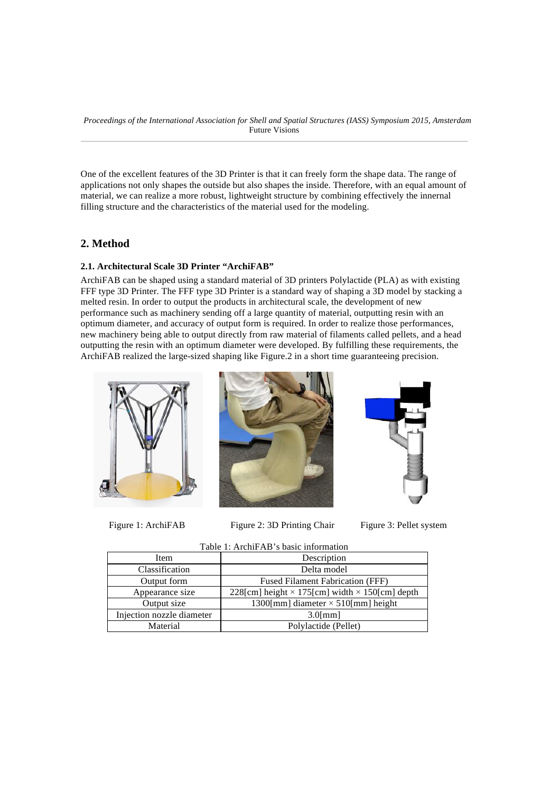One of the excellent features of the 3D Printer is that it can freely form the shape data. The range of applications not only shapes the outside but also shapes the inside. Therefore, with an equal amount of material, we can realize a more robust, lightweight structure by combining effectively the innernal filling structure and the characteristics of the material used for the modeling.

# **2. Method**

#### **2.1. Architectural Scale 3D Printer "ArchiFAB"**

ArchiFAB can be shaped using a standard material of 3D printers Polylactide (PLA) as with existing FFF type 3D Printer. The FFF type 3D Printer is a standard way of shaping a 3D model by stacking a melted resin. In order to output the products in architectural scale, the development of new performance such as machinery sending off a large quantity of material, outputting resin with an optimum diameter, and accuracy of output form is required. In order to realize those performances, new machinery being able to output directly from raw material of filaments called pellets, and a head outputting the resin with an optimum diameter were developed. By fulfilling these requirements, the ArchiFAB realized the large-sized shaping like Figure.2 in a short time guaranteeing precision.







Figure 1: ArchiFAB Figure 2: 3D Printing Chair Figure 3: Pellet system



| Table 1: ArchiFAB's basic information |  |
|---------------------------------------|--|
|---------------------------------------|--|

| Item                      | Description                                                  |  |
|---------------------------|--------------------------------------------------------------|--|
| Classification            | Delta model                                                  |  |
| Output form               | <b>Fused Filament Fabrication (FFF)</b>                      |  |
| Appearance size           | 228[cm] height $\times$ 175[cm] width $\times$ 150[cm] depth |  |
| Output size               | 1300[mm] diameter $\times$ 510[mm] height                    |  |
| Injection nozzle diameter | $3.0$ [mm]                                                   |  |
| Material                  | Polylactide (Pellet)                                         |  |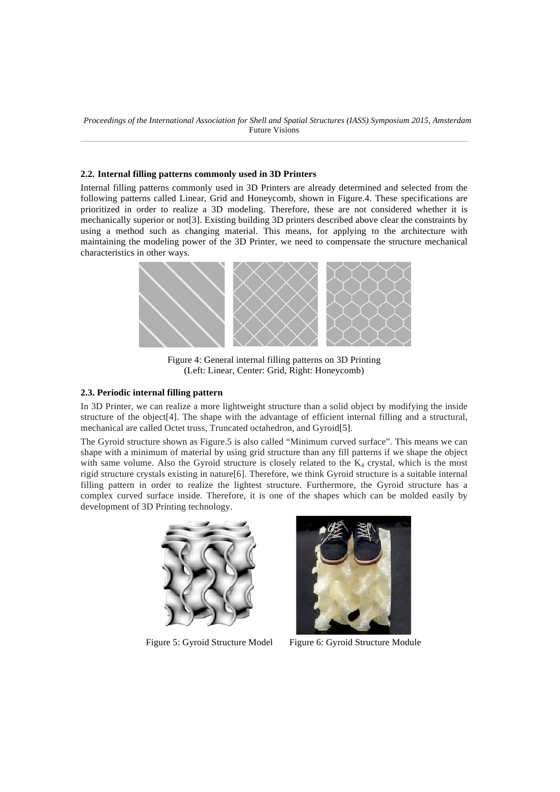#### **2.2. Internal filling patterns commonly used in 3D Printers**

Internal filling patterns commonly used in 3D Printers are already determined and selected from the following patterns called Linear, Grid and Honeycomb, shown in Figure.4. These specifications are prioritized in order to realize a 3D modeling. Therefore, these are not considered whether it is mechanically superior or not[3]. Existing building 3D printers described above clear the constraints by using a method such as changing material. This means, for applying to the architecture with maintaining the modeling power of the 3D Printer, we need to compensate the structure mechanical characteristics in other ways.



Figure 4: General internal filling patterns on 3D Printing (Left: Linear, Center: Grid, Right: Honeycomb)

#### **2.3. Periodic internal filling pattern**

In 3D Printer, we can realize a more lightweight structure than a solid object by modifying the inside structure of the object[4]. The shape with the advantage of efficient internal filling and a structural, mechanical are called Octet truss, Truncated octahedron, and Gyroid[5].

The Gyroid structure shown as Figure.5 is also called "Minimum curved surface". This means we can shape with a minimum of material by using grid structure than any fill patterns if we shape the object with same volume. Also the Gyroid structure is closely related to the  $K<sub>4</sub>$  crystal, which is the most rigid structure crystals existing in nature[6]. Therefore, we think Gyroid structure is a suitable internal filling pattern in order to realize the lightest structure. Furthermore, the Gyroid structure has a complex curved surface inside. Therefore, it is one of the shapes which can be molded easily by development of 3D Printing technology.





Figure 5: Gyroid Structure Model Figure 6: Gyroid Structure Module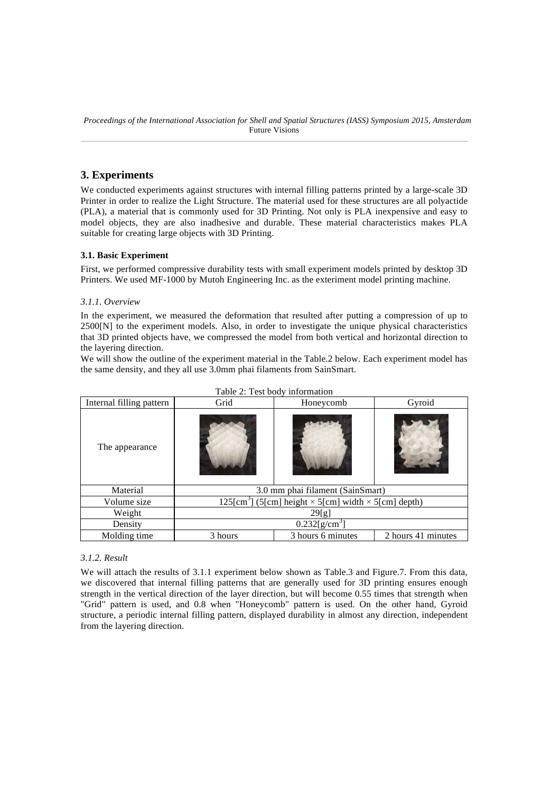# **3. Experiments**

We conducted experiments against structures with internal filling patterns printed by a large-scale 3D Printer in order to realize the Light Structure. The material used for these structures are all polyactide (PLA), a material that is commonly used for 3D Printing. Not only is PLA inexpensive and easy to model objects, they are also inadhesive and durable. These material characteristics makes PLA suitable for creating large objects with 3D Printing.

## **3.1. Basic Experiment**

First, we performed compressive durability tests with small experiment models printed by desktop 3D Printers. We used MF-1000 by Mutoh Engineering Inc. as the exteriment model printing machine.

#### *3.1.1. Overview*

In the experiment, we measured the deformation that resulted after putting a compression of up to 2500[N] to the experiment models. Also, in order to investigate the unique physical characteristics that 3D printed objects have, we compressed the model from both vertical and horizontal direction to the layering direction.

We will show the outline of the experiment material in the Table.2 below. Each experiment model has the same density, and they all use 3.0mm phai filaments from SainSmart.

| Internal filling pattern | Grid                                                                          | Honeycomb | Gyroid |  |
|--------------------------|-------------------------------------------------------------------------------|-----------|--------|--|
| The appearance           |                                                                               |           |        |  |
| Material                 | 3.0 mm phai filament (SainSmart)                                              |           |        |  |
| Volume size              | $125 \text{[cm}^3$ ] (5[cm] height $\times$ 5[cm] width $\times$ 5[cm] depth) |           |        |  |
| Weight                   | 29[g]                                                                         |           |        |  |
| Density                  | $0.232[g/cm^3]$                                                               |           |        |  |
| Molding time             | 3 hours 6 minutes<br>2 hours 41 minutes<br>3 hours                            |           |        |  |

|  |  | Table 2: Test body information |
|--|--|--------------------------------|
|--|--|--------------------------------|

## *3.1.2. Result*

We will attach the results of 3.1.1 experiment below shown as Table.3 and Figure.7. From this data, we discovered that internal filling patterns that are generally used for 3D printing ensures enough strength in the vertical direction of the layer direction, but will become 0.55 times that strength when "Grid" pattern is used, and 0.8 when "Honeycomb" pattern is used. On the other hand, Gyroid structure, a periodic internal filling pattern, displayed durability in almost any direction, independent from the layering direction.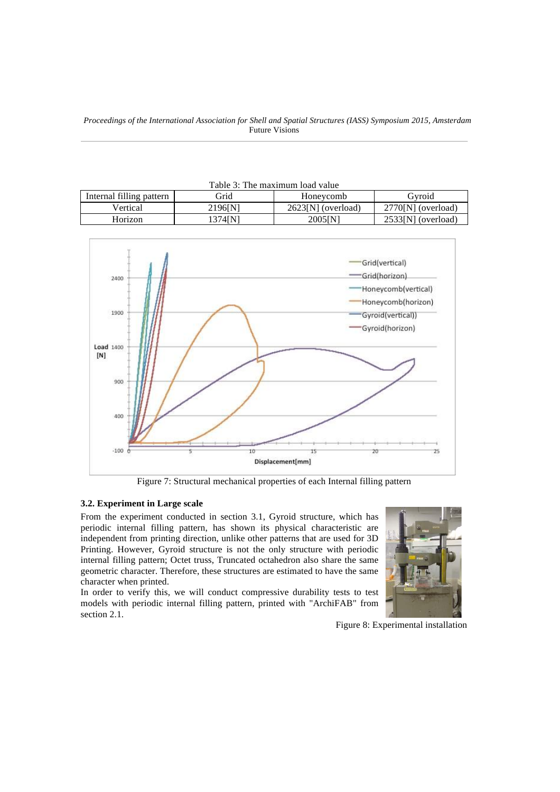*Proceedings of the International Association for Shell and Spatial Structures (IASS) Symposium 2015, Amsterdam* Future Visions

| Table 3: The maximum load value |         |                    |                    |
|---------------------------------|---------|--------------------|--------------------|
| Internal filling pattern        | Grid    | Honeycomb          | Gyroid             |
| Vertical                        | 2196JN1 | 2623[N] (overload) | 2770[N] (overload) |
| Horizon                         | 1374IN1 | 2005[N]            | 2533[N] (overload) |



Figure 7: Structural mechanical properties of each Internal filling pattern

#### **3.2. Experiment in Large scale**

From the experiment conducted in section 3.1, Gyroid structure, which has periodic internal filling pattern, has shown its physical characteristic are independent from printing direction, unlike other patterns that are used for 3D Printing. However, Gyroid structure is not the only structure with periodic internal filling pattern; Octet truss, Truncated octahedron also share the same geometric character. Therefore, these structures are estimated to have the same character when printed.

In order to verify this, we will conduct compressive durability tests to test models with periodic internal filling pattern, printed with "ArchiFAB" from section 2.1.



Figure 8: Experimental installation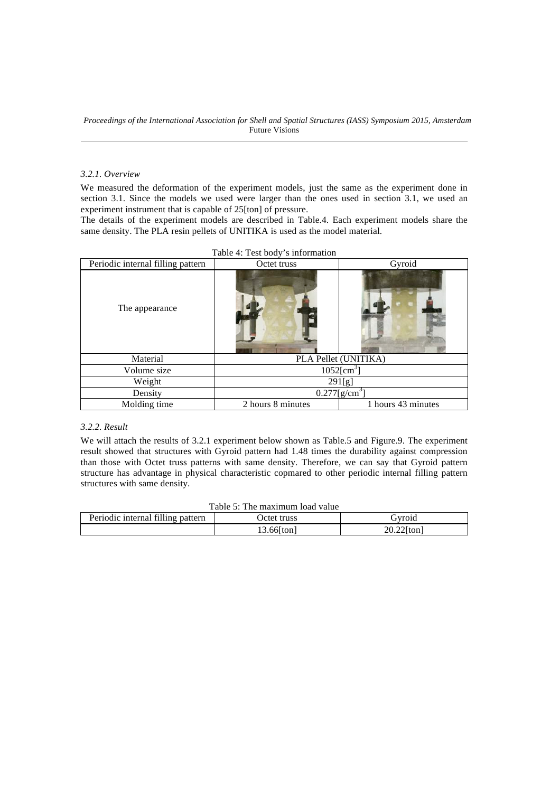#### *3.2.1. Overview*

We measured the deformation of the experiment models, just the same as the experiment done in section 3.1. Since the models we used were larger than the ones used in section 3.1, we used an experiment instrument that is capable of 25[ton] of pressure.

The details of the experiment models are described in Table.4. Each experiment models share the same density. The PLA resin pellets of UNITIKA is used as the model material.

| Periodic internal filling pattern | Octet truss                | Gyroid             |
|-----------------------------------|----------------------------|--------------------|
| The appearance                    |                            |                    |
| Material                          | PLA Pellet (UNITIKA)       |                    |
| Volume size                       | $1052$ [cm <sup>3</sup> ]  |                    |
| Weight                            | 291[g]                     |                    |
| Density                           | $\overline{0.277[g/cm^3]}$ |                    |
| Molding time                      | 2 hours 8 minutes          | 1 hours 43 minutes |

## *3.2.2. Result*

We will attach the results of 3.2.1 experiment below shown as Table.5 and Figure.9. The experiment result showed that structures with Gyroid pattern had 1.48 times the durability against compression than those with Octet truss patterns with same density. Therefore, we can say that Gyroid pattern structure has advantage in physical characteristic copmared to other periodic internal filling pattern structures with same density.

|  | Table 5: The maximum load value |  |
|--|---------------------------------|--|
|  |                                 |  |

| Periodic internal filling pattern | Octet truss   | 5vroid        |
|-----------------------------------|---------------|---------------|
|                                   | $13.66$ [ton] | $20.22$ [ton] |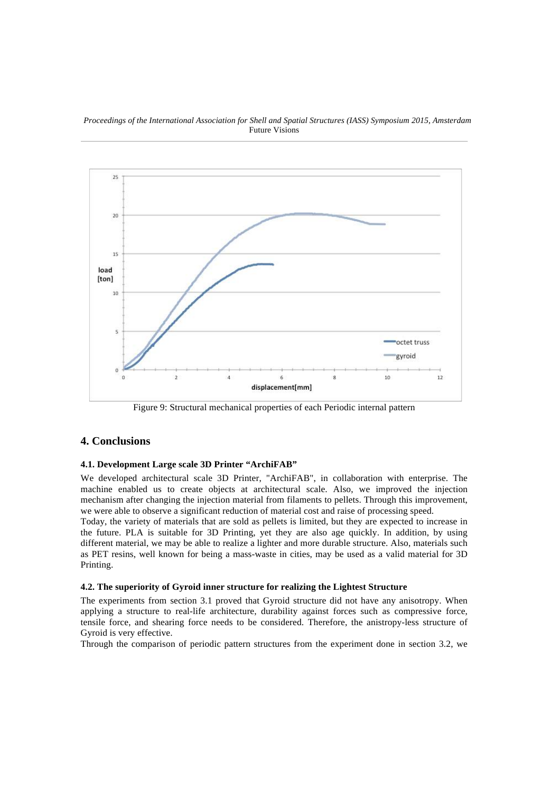*Proceedings of the International Association for Shell and Spatial Structures (IASS) Symposium 2015, Amsterdam* Future Visions



Figure 9: Structural mechanical properties of each Periodic internal pattern

# **4. Conclusions**

## **4.1. Development Large scale 3D Printer "ArchiFAB"**

We developed architectural scale 3D Printer, "ArchiFAB", in collaboration with enterprise. The machine enabled us to create objects at architectural scale. Also, we improved the injection mechanism after changing the injection material from filaments to pellets. Through this improvement, we were able to observe a significant reduction of material cost and raise of processing speed.

Today, the variety of materials that are sold as pellets is limited, but they are expected to increase in the future. PLA is suitable for 3D Printing, yet they are also age quickly. In addition, by using different material, we may be able to realize a lighter and more durable structure. Also, materials such as PET resins, well known for being a mass-waste in cities, may be used as a valid material for 3D Printing.

## **4.2. The superiority of Gyroid inner structure for realizing the Lightest Structure**

The experiments from section 3.1 proved that Gyroid structure did not have any anisotropy. When applying a structure to real-life architecture, durability against forces such as compressive force, tensile force, and shearing force needs to be considered. Therefore, the anistropy-less structure of Gyroid is very effective.

Through the comparison of periodic pattern structures from the experiment done in section 3.2, we